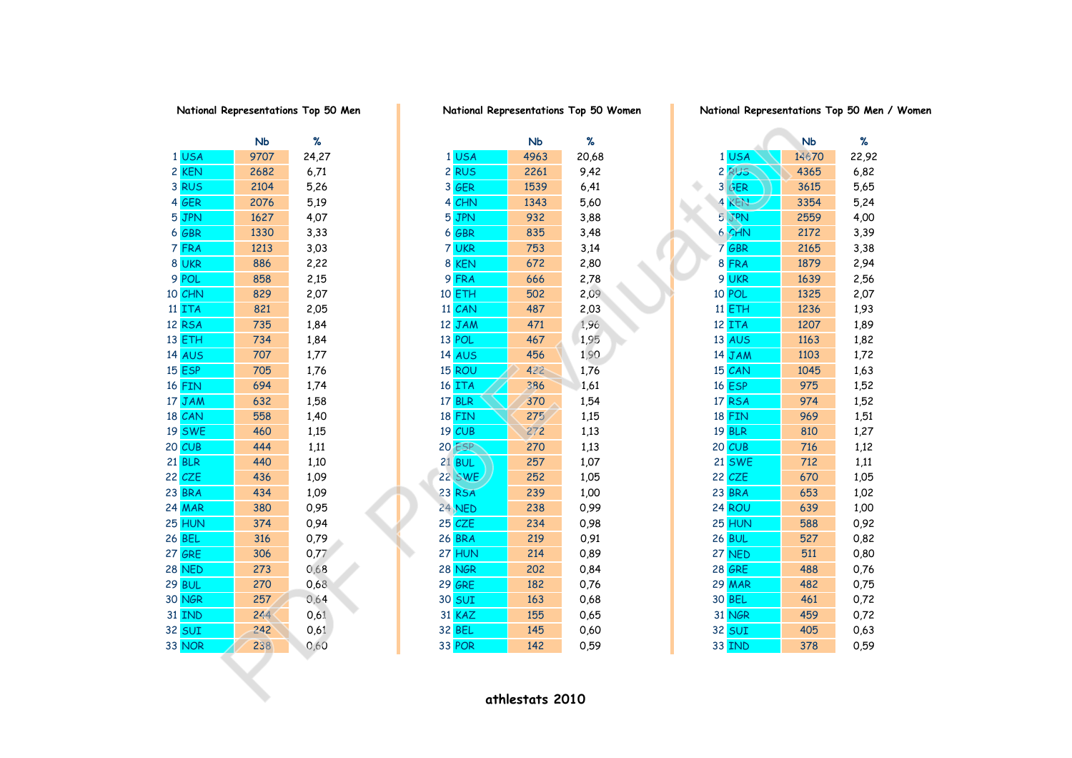|    |               | NЬ   | ℅     |
|----|---------------|------|-------|
| 1  | <b>USA</b>    | 9707 | 24,27 |
| 2  | <b>KEN</b>    | 2682 | 6,71  |
|    | 3 RUS         | 2104 | 5,26  |
|    | 4 GER         | 2076 | 5,19  |
| 5  | <b>JPN</b>    | 1627 | 4,07  |
| 6  | <b>GBR</b>    | 1330 | 3,33  |
| 7  | <b>FRA</b>    | 1213 | 3,03  |
| 8  | <b>UKR</b>    | 886  | 2,22  |
|    | 9 POL         | 858  | 2,15  |
|    | 10 CHN        | 829  | 2,07  |
| 11 | <b>ITA</b>    | 821  | 2,05  |
| 12 | <b>RSA</b>    | 735  | 1,84  |
|    | 13 ETH        | 734  | 1,84  |
|    | <b>14 AUS</b> | 707  | 1,77  |
|    | 15 ESP        | 705  | 1,76  |
|    | 16 FIN        | 694  | 1,74  |
|    | 17 JAM        | 632  | 1,58  |
|    | 18 CAN        | 558  | 1,40  |
|    | <b>19 SWE</b> | 460  | 1,15  |
|    | 20 CUB        | 444  | 1,11  |
|    | <b>21 BLR</b> | 440  | 1,10  |
| 22 | CZE           | 436  | 1,09  |
|    | 23 BRA        | 434  | 1,09  |
|    | <b>24 MAR</b> | 380  | 0,95  |
|    | 25 HUN        | 374  | 0,94  |
|    | <b>26 BEL</b> | 316  | 0,79  |
|    | <b>27 GRE</b> | 306  | 0,77  |
|    | <b>28 NED</b> | 273  | 0,68  |
|    | <b>29 BUL</b> | 270  | 0,68  |
|    | 30 NGR        | 257  | 0,64  |
| 31 | <b>IND</b>    | 244  | 0,61  |
|    | 32 SUI        | 242  | 0,61  |
|    | 33 NOR        | 238  | 0.60  |

|               | N <sub>b</sub> | $\%$  |               | N <sub>b</sub>  | $\%$  |                  | <b>Nb</b> | ℅     |
|---------------|----------------|-------|---------------|-----------------|-------|------------------|-----------|-------|
| 1 USA         | 9707           | 24,27 | 1USA          | 4963            | 20,68 | 1 USA            | 14670     | 22,92 |
| 2 KEN         | 2682           | 6,71  | 2RUS          | 2261            | 9,42  | 2 RUS            | 4365      | 6,82  |
| 3 RUS         | 2104           | 5,26  | 3 GER         | 1539            | 6,41  | 3 GER            | 3615      | 5,65  |
| 4 GER         | 2076           | 5,19  | 4 CHN         | 1343            | 5,60  | 4<br>KEN         | 3354      | 5,24  |
| 5 JPN         | 1627           | 4,07  | 5 JPN         | 932             | 3,88  | 5 JPN            | 2559      | 4,00  |
| 6 GBR         | 1330           | 3,33  | $6$ GBR       | 835             | 3,48  | 6 CHN            | 2172      | 3,39  |
| 7 FRA         | 1213           | 3,03  | 7 UKR         | 753             | 3,14  | 7 <sup>GBR</sup> | 2165      | 3,38  |
| 8 UKR         | 886            | 2,22  | 8 KEN         | 672             | 2,80  | 8 FRA            | 1879      | 2,94  |
| 9 POL         | 858            | 2,15  | 9 FRA         | 666             | 2,78  | 9 UKR            | 1639      | 2,56  |
| 10 CHN        | 829            | 2,07  | 10 ETH        | 502             | 2,09  | 10 POL           | 1325      | 2,07  |
| 11 ITA        | 821            | 2,05  | 11 CAN        | 487             | 2,03  | $11$ ETH         | 1236      | 1,93  |
| 12 RSA        | 735            | 1,84  | 12 JAM        | 471             | 1,96  | 12 ITA           | 1207      | 1,89  |
| 13 ETH        | 734            | 1,84  | 13 POL        | 467             | 1,95  | <b>13 AUS</b>    | 1163      | 1,82  |
| <b>14 AUS</b> | 707            | 1,77  | <b>14 AUS</b> | 456             | 1,90  | 14 JAM           | 1103      | 1,72  |
| <b>15 ESP</b> | 705            | 1,76  | 15 ROU        | 422             | 1,76  | 15 CAN           | 1045      | 1,63  |
| 16 FIN        | 694            | 1,74  | 16 ITA        | 386             | 1,61  | <b>16 ESP</b>    | 975       | 1,52  |
| 17 JAM        | 632            | 1,58  | 17 BLR        | 370             | 1,54  | 17 RSA           | 974       | 1,52  |
| 18 CAN        | 558            | 1,40  | <b>18 FIN</b> | 275             | 1,15  | <b>18 FIN</b>    | 969       | 1,51  |
| <b>19 SWE</b> | 460            | 1,15  | 19 CUB        | 272             | 1,13  | <b>19 BLR</b>    | 810       | 1,27  |
| 20 CUB        | 444            | 1,11  | <b>20 ESP</b> | 270             | 1,13  | 20 CUB           | 716       | 1,12  |
| <b>21 BLR</b> | 440            | 1,10  | $21$ BUL      | 257             | 1,07  | <b>21 SWE</b>    | 712       | 1,11  |
| 22 CZE        | 436            | 1,09  | <b>22 SWE</b> | 252             | 1,05  | 22 CZE           | 670       | 1,05  |
| 23 BRA        | 434            | 1,09  | 23 RSA        | 239             | 1,00  | 23 BRA           | 653       | 1,02  |
| <b>24 MAR</b> | 380            | 0,95  | 24 NED        | 238             | 0,99  | 24 ROU           | 639       | 1,00  |
| 25 HUN        | 374            | 0,94  | 25 CZE        | 234             | 0,98  | 25 HUN           | 588       | 0,92  |
| 26 BEL        | 316            | 0,79  | <b>26 BRA</b> | 219             | 0,91  | <b>26 BUL</b>    | 527       | 0,82  |
| 27 GRE        | 306            | 0,77  | 27 HUN        | 214             | 0,89  | 27 NED           | 511       | 0,80  |
| <b>28 NED</b> | 273            | 0,68  | <b>28 NGR</b> | 202             | 0,84  | <b>28 GRE</b>    | 488       | 0,76  |
| <b>29 BUL</b> | 270            | 0,68  | <b>29 GRE</b> | 182             | 0,76  | <b>29 MAR</b>    | 482       | 0,75  |
| 30 NGR        | 257            | 0,64  | <b>30 SUI</b> | 163             | 0,68  | 30 BEL           | 461       | 0,72  |
| <b>31 IND</b> | 244            | 0,61  | 31 KAZ        | 155             | 0,65  | 31 NGR           | 459       | 0,72  |
| 32 SUI        | 242            | 0,61  | 32 BEL        | 145             | 0,60  | <b>32 SUI</b>    | 405       | 0,63  |
| 33 NOR        | 238            | 0,60  | 33 POR        | 142             | 0,59  | <b>33 IND</b>    | 378       | 0,59  |
|               |                |       |               |                 |       |                  |           |       |
|               |                |       |               |                 |       |                  |           |       |
|               |                |       |               | athlestats 2010 |       |                  |           |       |
|               |                |       |               |                 |       |                  |           |       |

**National Representations Top 50 Men National Representations Top 50 Women National Representations Top 50 Men / Women**

|                 |                  | NЬ    | %     |
|-----------------|------------------|-------|-------|
| 1               | <b>USA</b>       | 14670 | 22,92 |
|                 | 2 RUS            | 4365  | 6,82  |
|                 | 3 GER            | 3615  | 5,65  |
| 4               | <b>KEN</b>       | 3354  | 5,24  |
|                 | 5 JPN            | 2559  | 4,00  |
|                 | 6 CHN            | 2172  | 3,39  |
|                 | 7 <sup>GBR</sup> | 2165  | 3,38  |
|                 | 8 FRA            | 1879  | 2,94  |
|                 | 9 UKR            | 1639  | 2,56  |
|                 | 10 POL           | 1325  | 2,07  |
| 11 <sup>1</sup> | <b>ETH</b>       | 1236  | 1,93  |
| 12 <sup>2</sup> | <b>ITA</b>       | 1207  | 1,89  |
|                 | <b>13 AUS</b>    | 1163  | 1,82  |
|                 | 14 JAM           | 1103  | 1,72  |
|                 | 15 CAN           | 1045  | 1,63  |
|                 | 16 ESP           | 975   | 1,52  |
|                 | 17 RSA           | 974   | 1,52  |
|                 | 18 FIN           | 969   | 1,51  |
|                 | <b>19 BLR</b>    | 810   | 1,27  |
|                 | 20 CUB           | 716   | 1,12  |
|                 | <b>21 SWE</b>    | 712   | 1,11  |
|                 | 22 CZE           | 670   | 1,05  |
|                 | 23 BRA           | 653   | 1,02  |
|                 | 24 ROU           | 639   | 1,00  |
|                 | 25 HUN           | 588   | 0,92  |
|                 | <b>26 BUL</b>    | 527   | 0,82  |
|                 | 27 NED           | 511   | 0,80  |
|                 | <b>28 GRE</b>    | 488   | 0,76  |
|                 | <b>29 MAR</b>    | 482   | 0,75  |
|                 | <b>30 BEL</b>    | 461   | 0,72  |
| 31              | <b>NGR</b>       | 459   | 0,72  |
|                 | <b>32 SUI</b>    | 405   | 0,63  |
| २२              | <b>TNIN</b>      | 378   | በ 59  |